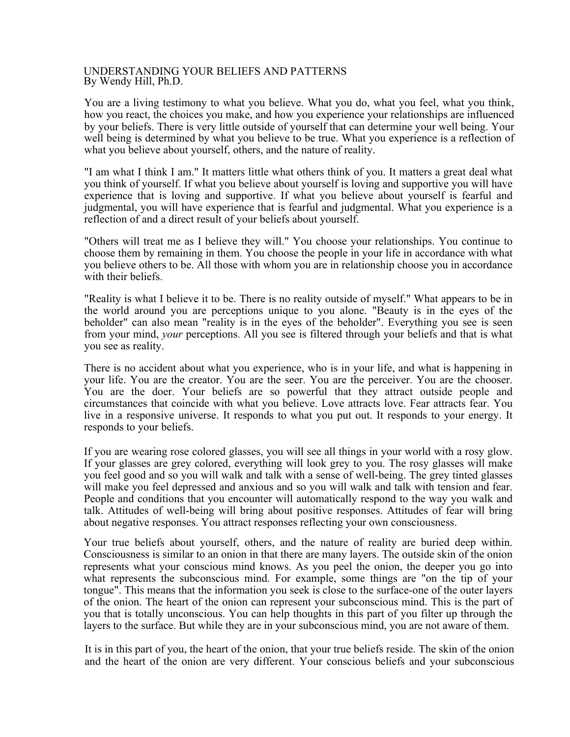## UNDERSTANDING YOUR BELIEFS AND PATTERNS By Wendy Hill, Ph.D.

You are a living testimony to what you believe. What you do, what you feel, what you think, how you react, the choices you make, and how you experience your relationships are influenced by your beliefs. There is very little outside of yourself that can determine your well being. Your well being is determined by what you believe to be true. What you experience is a reflection of what you believe about yourself, others, and the nature of reality.

"I am what I think I am." It matters little what others think of you. It matters a great deal what you think of yourself. If what you believe about yourself is loving and supportive you will have experience that is loving and supportive. If what you believe about yourself is fearful and judgmental, you will have experience that is fearful and judgmental. What you experience is a reflection of and a direct result of your beliefs about yourself.

"Others will treat me as I believe they will." You choose your relationships. You continue to choose them by remaining in them. You choose the people in your life in accordance with what you believe others to be. All those with whom you are in relationship choose you in accordance with their beliefs.

"Reality is what I believe it to be. There is no reality outside of myself." What appears to be in the world around you are perceptions unique to you alone. "Beauty is in the eyes of the beholder" can also mean "reality is in the eyes of the beholder". Everything you see is seen from your mind, *your* perceptions. All you see is filtered through your beliefs and that is what you see as reality.

There is no accident about what you experience, who is in your life, and what is happening in your life. You are the creator. You are the seer. You are the perceiver. You are the chooser. You are the doer. Your beliefs are so powerful that they attract outside people and circumstances that coincide with what you believe. Love attracts love. Fear attracts fear. You live in a responsive universe. It responds to what you put out. It responds to your energy. It responds to your beliefs.

If you are wearing rose colored glasses, you will see all things in your world with a rosy glow. If your glasses are grey colored, everything will look grey to you. The rosy glasses will make you feel good and so you will walk and talk with a sense of well-being. The grey tinted glasses will make you feel depressed and anxious and so you will walk and talk with tension and fear. People and conditions that you encounter will automatically respond to the way you walk and talk. Attitudes of well-being will bring about positive responses. Attitudes of fear will bring about negative responses. You attract responses reflecting your own consciousness.

Your true beliefs about yourself, others, and the nature of reality are buried deep within. Consciousness is similar to an onion in that there are many layers. The outside skin of the onion represents what your conscious mind knows. As you peel the onion, the deeper you go into what represents the subconscious mind. For example, some things are "on the tip of your tongue". This means that the information you seek is close to the surface-one of the outer layers of the onion. The heart of the onion can represent your subconscious mind. This is the part of you that is totally unconscious. You can help thoughts in this part of you filter up through the layers to the surface. But while they are in your subconscious mind, you are not aware of them.

It is in this part of you, the heart of the onion, that your true beliefs reside. The skin of the onion and the heart of the onion are very different. Your conscious beliefs and your subconscious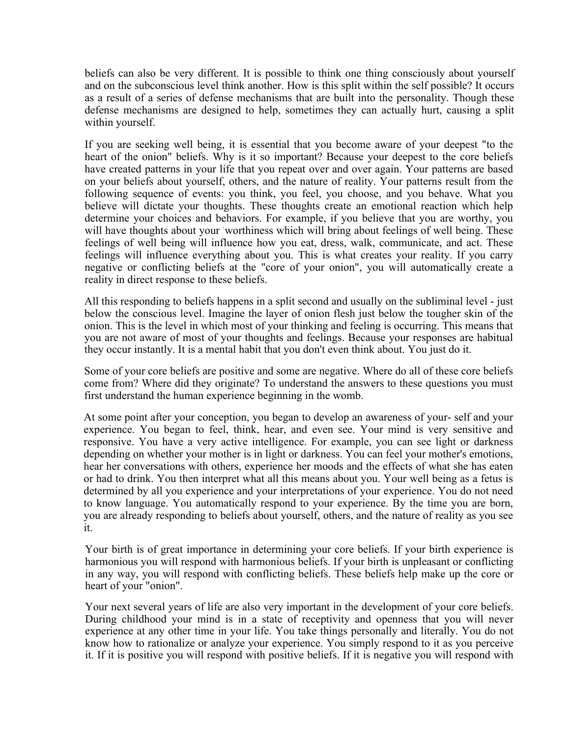beliefs can also be very different. It is possible to think one thing consciously about yourself and on the subconscious level think another. How is this split within the self possible? It occurs as a result of a series of defense mechanisms that are built into the personality. Though these defense mechanisms are designed to help, sometimes they can actually hurt, causing a split within yourself.

If you are seeking well being, it is essential that you become aware of your deepest "to the heart of the onion" beliefs. Why is it so important? Because your deepest to the core beliefs have created patterns in your life that you repeat over and over again. Your patterns are based on your beliefs about yourself, others, and the nature of reality. Your patterns result from the following sequence of events: you think, you feel, you choose, and you behave. What you believe will dictate your thoughts. These thoughts create an emotional reaction which help determine your choices and behaviors. For example, if you believe that you are worthy, you will have thoughts about your 'worthiness which will bring about feelings of well being. These feelings of well being will influence how you eat, dress, walk, communicate, and act. These feelings will influence everything about you. This is what creates your reality. If you carry negative or conflicting beliefs at the "core of your onion", you will automatically create a reality in direct response to these beliefs.

All this responding to beliefs happens in a split second and usually on the subliminal level - just below the conscious level. Imagine the layer of onion flesh just below the tougher skin of the onion. This is the level in which most of your thinking and feeling is occurring. This means that you are not aware of most of your thoughts and feelings. Because your responses are habitual they occur instantly. It is a mental habit that you don't even think about. You just do it.

Some of your core beliefs are positive and some are negative. Where do all of these core beliefs come from? Where did they originate? To understand the answers to these questions you must first understand the human experience beginning in the womb.

At some point after your conception, you began to develop an awareness of your- self and your experience. You began to feel, think, hear, and even see. Your mind is very sensitive and responsive. You have a very active intelligence. For example, you can see light or darkness depending on whether your mother is in light or darkness. You can feel your mother's emotions, hear her conversations with others, experience her moods and the effects of what she has eaten or had to drink. You then interpret what all this means about you. Your well being as a fetus is determined by all you experience and your interpretations of your experience. You do not need to know language. You automatically respond to your experience. By the time you are born, you are already responding to beliefs about yourself, others, and the nature of reality as you see it.

Your birth is of great importance in determining your core beliefs. If your birth experience is harmonious you will respond with harmonious beliefs. If your birth is unpleasant or conflicting in any way, you will respond with conflicting beliefs. These beliefs help make up the core or heart of your "onion".

Your next several years of life are also very important in the development of your core beliefs. During childhood your mind is in a state of receptivity and openness that you will never experience at any other time in your life. You take things personally and literally. You do not know how to rationalize or analyze your experience. You simply respond to it as you perceive it. If it is positive you will respond with positive beliefs. If it is negative you will respond with